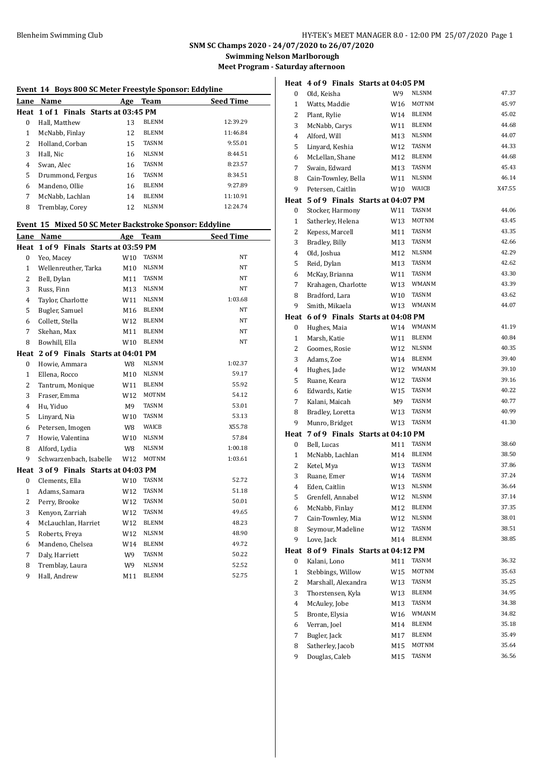**Swimming Nelson Marlborough**

**Meet Program - Saturday afternoon**

| Event 14 Boys 800 SC Meter Freestyle Sponsor: Eddyline |                                                         |                 |              |                  |
|--------------------------------------------------------|---------------------------------------------------------|-----------------|--------------|------------------|
| Lane                                                   | Name                                                    | Age             | Team         | <b>Seed Time</b> |
|                                                        | Heat 1 of 1 Finals Starts at 03:45 PM                   |                 |              |                  |
| 0                                                      | Hall, Matthew                                           | 13              | <b>BLENM</b> | 12:39.29         |
| $\mathbf{1}$                                           | McNabb, Finlay                                          | 12              | <b>BLENM</b> | 11:46.84         |
| 2                                                      | Holland, Corban                                         | 15              | <b>TASNM</b> | 9:55.01          |
| 3                                                      | Hall, Nic                                               | 16              | <b>NLSNM</b> | 8:44.51          |
| 4                                                      | Swan, Alec                                              | 16              | TASNM        | 8:23.57          |
| 5                                                      | Drummond, Fergus                                        | 16              | TASNM        | 8:34.51          |
| 6                                                      | Mandeno, Ollie                                          | 16              | <b>BLENM</b> | 9:27.89          |
| 7                                                      | McNabb. Lachlan                                         | 14              | BLENM        | 11:10.91         |
| 8                                                      | Tremblay, Corey                                         | 12              | NLSNM        | 12:24.74         |
|                                                        | Event 15 Mixed 50 SC Meter Backstroke Sponsor: Eddyline |                 |              |                  |
|                                                        | Lane Name                                               | Age             | Team         | <b>Seed Time</b> |
| Heat                                                   | 1 of 9 Finals Starts at 03:59 PM                        |                 |              |                  |
| 0                                                      | Yeo, Macey                                              | W <sub>10</sub> | <b>TASNM</b> | NT               |
| $\mathbf{1}$                                           | Wellenreuther, Tarka                                    | M10             | NLSNM        | NΤ               |
| 2                                                      | Bell, Dylan                                             | M11             | <b>TASNM</b> | NT               |
| 3                                                      | Russ, Finn                                              | M13             | <b>NLSNM</b> | NT               |
| 4                                                      | Taylor, Charlotte                                       | W11             | <b>NLSNM</b> | 1:03.68          |
| 5                                                      | Bugler, Samuel                                          | M16             | <b>BLENM</b> | NT               |
| 6                                                      | Collett, Stella                                         | W12             | <b>BLENM</b> | NT               |
| 7                                                      | Skehan, Max                                             | M11             | <b>BLENM</b> | NT               |
| 8                                                      | Bowhill, Ella                                           | W10             | <b>BLENM</b> | NT               |
|                                                        | Heat 2 of 9 Finals Starts at 04:01 PM                   |                 |              |                  |
| 0                                                      | Howie, Ammara                                           | W8              | NLSNM        | 1:02.37          |
| $\mathbf{1}$                                           | Ellena, Rocco                                           | M10             | <b>NLSNM</b> | 59.17            |
| 2                                                      | Tantrum, Monique                                        | W11             | <b>BLENM</b> | 55.92            |
| 3                                                      | Fraser, Emma                                            | W12             | <b>MOTNM</b> | 54.12            |
| 4                                                      | Hu, Yiduo                                               | M9              | <b>TASNM</b> | 53.01            |
| 5                                                      | Linyard, Nia                                            | W10             | TASNM        | 53.13            |
| 6                                                      | Petersen, Imogen                                        | W8              | WAICB        | X55.78           |
| 7                                                      | Howie, Valentina                                        | W10             | <b>NLSNM</b> | 57.84            |
| 8                                                      | Alford, Lydia                                           | W8              | <b>NLSNM</b> | 1:00.18          |
| 9                                                      | Schwarzenbach, Isabelle                                 | W12             | MOTNM        | 1:03.61          |
|                                                        | Heat 3 of 9 Finals Starts at 04:03 PM                   |                 |              |                  |
| 0                                                      | Clements, Ella                                          | W10             | <b>TASNM</b> | 52.72            |
| $\mathbf{1}$                                           | Adams, Samara                                           | W12             | <b>TASNM</b> | 51.18            |
| 2                                                      | Perry, Brooke                                           | W12             | TASNM        | 50.01            |
| 3                                                      | Kenyon, Zarriah                                         | W12             | TASNM        | 49.65            |
| 4                                                      | McLauchlan, Harriet                                     | W12             | BLENM        | 48.23            |
| 5                                                      | Roberts, Freya                                          | W12             | NLSNM        | 48.90            |
| 6                                                      | Mandeno, Chelsea                                        | W14             | BLENM        | 49.72            |
| 7                                                      | Daly, Harriett                                          | W9              | TASNM        | 50.22            |
| 8                                                      | Tremblay, Laura                                         | W9              | NLSNM        | 52.52            |
| 9                                                      | Hall, Andrew                                            | M11             | BLENM        | 52.75            |

|                |                     | Heat 4 of 9 Finals Starts at 04:05 PM |              |        |
|----------------|---------------------|---------------------------------------|--------------|--------|
| 0              | Old, Keisha         | W9                                    | <b>NLSNM</b> | 47.37  |
| $\mathbf{1}$   | Watts, Maddie       | W16                                   | MOTNM        | 45.97  |
| 2              | Plant, Rylie        |                                       | W14 BLENM    | 45.02  |
| 3              | McNabb, Carys       | W11                                   | BLENM        | 44.68  |
| $\overline{4}$ | Alford, Will        | M13                                   | <b>NLSNM</b> | 44.07  |
| 5              | Linyard, Keshia     | W12                                   | TASNM        | 44.33  |
| 6              | McLellan, Shane     | M12                                   | <b>BLENM</b> | 44.68  |
| 7              | Swain, Edward       | M13                                   | TASNM        | 45.43  |
| 8              | Cain-Townley, Bella | W11                                   | <b>NLSNM</b> | 46.14  |
| 9              | Petersen, Caitlin   | W10                                   | WAICB        | X47.55 |
|                |                     | Heat 5 of 9 Finals Starts at 04:07 PM |              |        |
| 0              | Stocker, Harmony    | W11                                   | TASNM        | 44.06  |
| 1              | Satherley, Helena   | W13                                   | MOTNM        | 43.45  |
| 2              | Kepess, Marcell     | M11                                   | TASNM        | 43.35  |
| 3              | Bradley, Billy      | M13                                   | TASNM        | 42.66  |
| 4              | Old, Joshua         | M12                                   | <b>NLSNM</b> | 42.29  |
| 5              | Reid, Dylan         | M13                                   | <b>TASNM</b> | 42.62  |
| 6              | McKay, Brianna      | W11                                   | TASNM        | 43.30  |
| $\overline{7}$ | Krahagen, Charlotte | W13                                   | WMANM        | 43.39  |
| 8              | Bradford, Lara      | W10                                   | TASNM        | 43.62  |
| 9              | Smith, Mikaela      | W13                                   | WMANM        | 44.07  |
| Heat           |                     | 6 of 9 Finals Starts at 04:08 PM      |              |        |
| 0              | Hughes, Maia        | W14                                   | WMANM        | 41.19  |
| $\mathbf{1}$   | Marsh, Katie        | W11                                   | <b>BLENM</b> | 40.84  |
| 2              | Goomes, Rosie       | W12                                   | <b>NLSNM</b> | 40.35  |
| 3              | Adams, Zoe          | W14                                   | BLENM        | 39.40  |
| 4              | Hughes, Jade        | W12                                   | WMANM        | 39.10  |
| 5              | Ruane, Keara        | W12                                   | <b>TASNM</b> | 39.16  |
| 6              | Edwards, Katie      | W15                                   | TASNM        | 40.22  |
| 7              | Kalani, Maicah      | M9                                    | TASNM        | 40.77  |
| 8              | Bradley, Loretta    | W13                                   | TASNM        | 40.99  |
| 9              | Munro, Bridget      | W13                                   | TASNM        | 41.30  |
| Heat           |                     | 7 of 9 Finals Starts at 04:10 PM      |              |        |
| 0              | Bell, Lucas         | M11                                   | <b>TASNM</b> | 38.60  |
| $\mathbf{1}$   | McNabb, Lachlan     | M14                                   | <b>BLENM</b> | 38.50  |
| 2              | Ketel, Mya          | W13                                   | TASNM        | 37.86  |
| 3              | Ruane, Emer         | W14                                   | TASNM        | 37.24  |
| $\overline{4}$ | Eden, Caitlin       | W13                                   | <b>NLSNM</b> | 36.64  |
| 5              | Grenfell, Annabel   | W12                                   | NLSNM        | 37.14  |
| 6              | McNabb, Finlay      | M12                                   | BLENM        | 37.35  |
| 7              | Cain-Townley, Mia   | W12                                   | <b>NLSNM</b> | 38.01  |
| 8              | Seymour, Madeline   | W12                                   | TASNM        | 38.51  |
| 9              | Love, Jack          | M14                                   | BLENM        | 38.85  |
| Heat           |                     | 8 of 9 Finals Starts at 04:12 PM      |              |        |
| 0              | Kalani, Lono        | M11                                   | TASNM        | 36.32  |
| 1              | Stebbings, Willow   | W15                                   | MOTNM        | 35.63  |
| 2              | Marshall, Alexandra | W13                                   | <b>TASNM</b> | 35.25  |
| 3              | Thorstensen, Kyla   | W13                                   | BLENM        | 34.95  |
| 4              | McAuley, Jobe       | M13                                   | TASNM        | 34.38  |
| 5              | Bronte, Elysia      | W16                                   | WMANM        | 34.82  |
| 6              | Verran, Joel        | M14                                   | BLENM        | 35.18  |
| 7              | Bugler, Jack        | M17                                   | BLENM        | 35.49  |
| 8              | Satherley, Jacob    | M15                                   | MOTNM        | 35.64  |
| 9              | Douglas, Caleb      | M15                                   | TASNM        | 36.56  |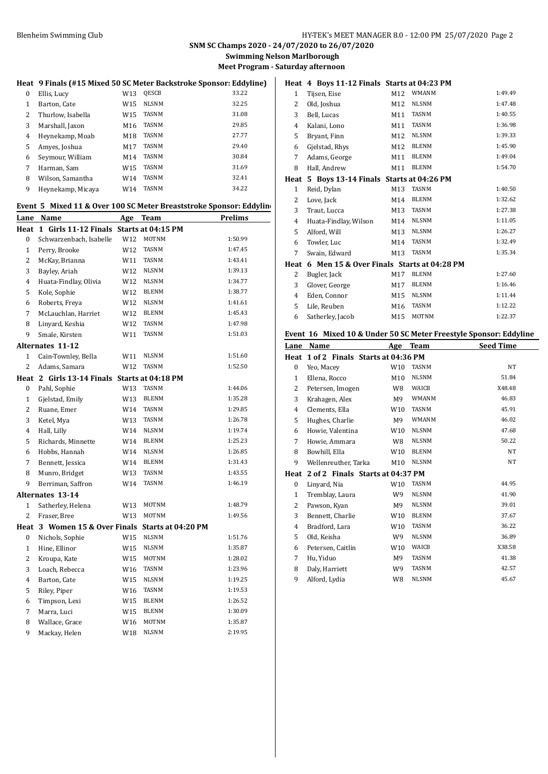**Swimming Nelson Marlborough Meet Program - Saturday afternoon**

## **Heat 9 Finals (#15 Mixed 50 SC Meter Backstroke Sponsor: Eddyline)**

| 0 | Ellis, Lucy       | W13             | <b>QESCB</b> | 33.22 |
|---|-------------------|-----------------|--------------|-------|
| 1 | Barton, Cate      | W <sub>15</sub> | NLSNM        | 32.25 |
| 2 | Thurlow, Isabella | W15             | <b>TASNM</b> | 31.08 |
| 3 | Marshall, Jaxon   | M16             | <b>TASNM</b> | 29.85 |
| 4 | Heynekamp, Moab   | M18             | <b>TASNM</b> | 27.77 |
| 5 | Amves, Joshua     | M17             | <b>TASNM</b> | 29.40 |
| 6 | Seymour, William  | M14             | <b>TASNM</b> | 30.84 |
| 7 | Harman, Sam       | W15             | <b>TASNM</b> | 31.69 |
| 8 | Wilson, Samantha  | W14             | <b>TASNM</b> | 32.41 |
| 9 | Heynekamp, Micaya | W14             | <b>TASNM</b> | 34.22 |

## **Event 5 Mixed 11 & Over 100 SC Meter Breaststroke Sponsor: Eddyline**

|                | Lane Name                                    | <u>Age</u> | <b>Team</b>        | <b>Prelims</b> |
|----------------|----------------------------------------------|------------|--------------------|----------------|
| Heat           | 1 Girls 11-12 Finals Starts at 04:15 PM      |            |                    |                |
| $\bf{0}$       | Schwarzenbach, Isabelle                      | W12        | <b>MOTNM</b>       | 1:50.99        |
| $\mathbf{1}$   | Perry, Brooke                                | W12        | <b>TASNM</b>       | 1:47.45        |
| $\overline{c}$ | McKay, Brianna                               | W11        | <b>TASNM</b>       | 1:43.41        |
| 3              | Bayley, Ariah                                | W12        | <b>NLSNM</b>       | 1:39.13        |
| 4              | Huata-Findlay, Olivia                        | W12        | <b>NLSNM</b>       | 1:34.77        |
| 5              | Kole, Sophie                                 | W12        | <b>BLENM</b>       | 1:38.77        |
| 6              | Roberts, Freya                               | W12        | <b>NLSNM</b>       | 1:41.61        |
| 7              | McLauchlan, Harriet                          | W12        | <b>BLENM</b>       | 1:45.43        |
| 8              | Linyard, Keshia                              | W12        | <b>TASNM</b>       | 1:47.98        |
| 9              | Smale, Kirsten                               | W11        | TASNM              | 1:51.03        |
|                | Alternates 11-12                             |            |                    |                |
| 1              | Cain-Townley, Bella                          | W11        | <b>NLSNM</b>       | 1:51.60        |
| $\overline{c}$ | Adams, Samara                                | W12        | <b>TASNM</b>       | 1:52.50        |
|                | Heat 2 Girls 13-14 Finals Starts at 04:18 PM |            |                    |                |
| $\mathbf{0}$   | Pahl, Sophie                                 | W13        | <b>TASNM</b>       | 1:44.06        |
| 1              | Gjelstad, Emily                              | W13        | <b>BLENM</b>       | 1:35.28        |
| $\overline{c}$ | Ruane, Emer                                  | W14        | TASNM              | 1:29.85        |
| 3              | Ketel, Mya                                   | W13        | <b>TASNM</b>       | 1:26.78        |
| 4              | Hall, Lilly                                  | W14        | <b>NLSNM</b>       | 1:19.74        |
| 5              | Richards, Minnette                           | W14        | <b>BLENM</b>       | 1:25.23        |
| 6              | Hobbs, Hannah                                | W14        | <b>NLSNM</b>       | 1:26.85        |
| 7              | Bennett, Jessica                             | W14        | <b>BLENM</b>       | 1:31.43        |
| 8              | Munro, Bridget                               | W13        | TASNM              | 1:43.55        |
| 9              | Berriman, Saffron                            | W14        | <b>TASNM</b>       | 1:46.19        |
|                | <b>Alternates 13-14</b>                      |            |                    |                |
| $\mathbf{1}$   | Satherley, Helena                            | W13        | MOTNM              | 1:48.79        |
| $\overline{c}$ | Fraser, Bree                                 | W13        | <b>MOTNM</b>       | 1:49.56        |
| Heat           | 3 Women 15 & Over Finals                     |            | Starts at 04:20 PM |                |
| $\bf{0}$       | Nichols, Sophie                              | W15        | <b>NLSNM</b>       | 1:51.76        |
| $\mathbf{1}$   | Hine, Ellinor                                | W15        | <b>NLSNM</b>       | 1:35.87        |
| 2              | Kroupa, Kate                                 | W15        | <b>MOTNM</b>       | 1:28.02        |
| 3              | Loach, Rebecca                               | W16        | <b>TASNM</b>       | 1:23.96        |
| 4              | Barton, Cate                                 | W15        | <b>NLSNM</b>       | 1:19.25        |
| 5              | Riley, Piper                                 | W16        | TASNM              | 1:19.53        |
| 6              | Timpson, Lexi                                | W15        | <b>BLENM</b>       | 1:26.52        |
| 7              | Marra, Luci                                  | W15        | <b>BLENM</b>       | 1:30.09        |
| 8              | Wallace, Grace                               | W16        | <b>MOTNM</b>       | 1:35.87        |
| 9              | Mackay, Helen                                | W18        | <b>NLSNM</b>       | 2:19.95        |

|              | Heat 4 Boys 11-12 Finals Starts at 04:23 PM |     |              |         |
|--------------|---------------------------------------------|-----|--------------|---------|
| 1            | Tijsen, Eise                                | M12 | <b>WMANM</b> | 1:49.49 |
| 2            | Old, Joshua                                 | M12 | <b>NLSNM</b> | 1:47.48 |
| 3            | Bell, Lucas                                 | M11 | <b>TASNM</b> | 1:40.55 |
| 4            | Kalani, Lono                                | M11 | <b>TASNM</b> | 1:36.98 |
| 5            | Bryant, Finn                                | M12 | <b>NLSNM</b> | 1:39.33 |
| 6            | Gjelstad, Rhys                              | M12 | <b>BLENM</b> | 1:45.90 |
| 7            | Adams, George                               | M11 | <b>BLENM</b> | 1:49.04 |
| 8            | Hall, Andrew                                | M11 | <b>BLENM</b> | 1:54.70 |
| Heat         | 5 Boys 13-14 Finals Starts at 04:26 PM      |     |              |         |
| $\mathbf{1}$ | Reid, Dylan                                 | M13 | <b>TASNM</b> | 1:40.50 |
| 2            | Love, Jack                                  | M14 | <b>BLENM</b> | 1:32.62 |
| 3            | Traut, Lucca                                | M13 | <b>TASNM</b> | 1:27.38 |
| 4            | Huata-Findlay, Wilson                       | M14 | <b>NLSNM</b> | 1:11.05 |
| 5            | Alford, Will                                | M13 | <b>NLSNM</b> | 1:26.27 |
| 6            | Towler, Luc                                 | M14 | <b>TASNM</b> | 1:32.49 |
| 7            | Swain, Edward                               | M13 | <b>TASNM</b> | 1:35.34 |
| Heat         | 6 Men 15 & Over Finals Starts at 04:28 PM   |     |              |         |
| 2            | Bugler, Jack                                | M17 | <b>BLENM</b> | 1:27.60 |
| 3            | Glover, George                              | M17 | <b>BLENM</b> | 1:16.46 |
| 4            | Eden, Connor                                | M15 | <b>NLSNM</b> | 1:11.44 |
| 5            | Lile, Reuben                                | M16 | <b>TASNM</b> | 1:12.22 |
| 6            | Satherley, Jacob                            | M15 | <b>MOTNM</b> | 1:22.37 |
|              |                                             |     |              |         |

## **Event 16 Mixed 10 & Under 50 SC Meter Freestyle Sponsor: Eddyline**

| Lane         | Name                             | Age             | Team         | <b>Seed Time</b> |
|--------------|----------------------------------|-----------------|--------------|------------------|
| Heat         | 1 of 2 Finals Starts at 04:36 PM |                 |              |                  |
| $\bf{0}$     | Yeo, Macey                       | W10             | <b>TASNM</b> | NT               |
| $\mathbf{1}$ | Ellena, Rocco                    | M10             | <b>NLSNM</b> | 51.84            |
| 2            | Petersen, Imogen                 | W8              | WAICB        | X48.48           |
| 3            | Krahagen, Alex                   | M9              | <b>WMANM</b> | 46.83            |
| 4            | Clements, Ella                   | W <sub>10</sub> | <b>TASNM</b> | 45.91            |
| 5            | Hughes, Charlie                  | M9              | <b>WMANM</b> | 46.02            |
| 6            | Howie, Valentina                 | W <sub>10</sub> | <b>NLSNM</b> | 47.68            |
| 7            | Howie, Ammara                    | W8              | <b>NLSNM</b> | 50.22            |
| 8            | Bowhill, Ella                    | W <sub>10</sub> | <b>BLENM</b> | NT               |
| 9            | Wellenreuther, Tarka             | M10             | <b>NLSNM</b> | NT               |
| Heat         | 2 of 2 Finals Starts at 04:37 PM |                 |              |                  |
| 0            | Linyard, Nia                     | W <sub>10</sub> | TASNM        | 44.95            |
| 1            | Tremblay, Laura                  | W9              | <b>NLSNM</b> | 41.90            |
| 2            | Pawson, Kyan                     | M9              | <b>NLSNM</b> | 39.01            |
| 3            | Bennett, Charlie                 | W10             | <b>BLENM</b> | 37.67            |
| 4            | Bradford, Lara                   | W <sub>10</sub> | <b>TASNM</b> | 36.22            |
| 5            | Old, Keisha                      | W9              | <b>NLSNM</b> | 36.89            |
| 6            | Petersen, Caitlin                | W <sub>10</sub> | WAICB        | X38.58           |
| 7            | Hu, Yiduo                        | M9              | TASNM        | 41.38            |
| 8            | Daly, Harriett                   | W9              | TASNM        | 42.57            |
| 9            | Alford, Lydia                    | W8              | <b>NLSNM</b> | 45.67            |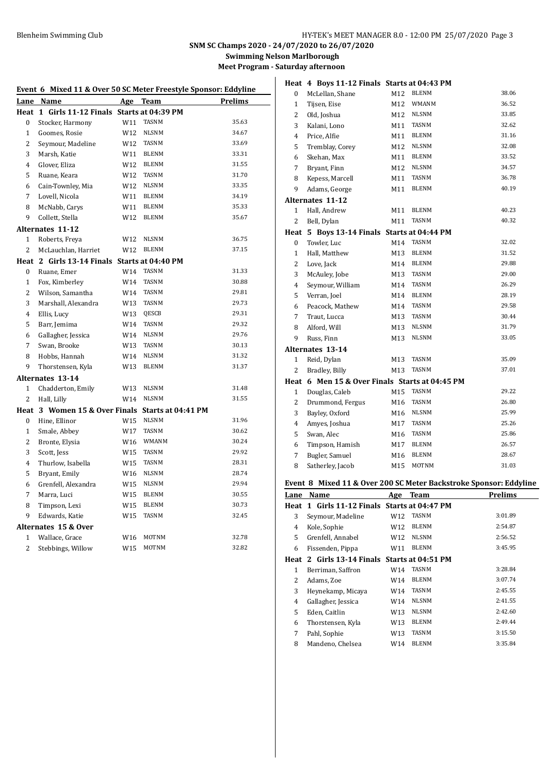**Swimming Nelson Marlborough Meet Program - Saturday afternoon**

| Event 6   Mixed 11 & Over 50 SC Meter Freestyle Sponsor: Eddyline |                                                  |                 |                    |                |
|-------------------------------------------------------------------|--------------------------------------------------|-----------------|--------------------|----------------|
| Lane                                                              | Name                                             |                 | Age Team           | <b>Prelims</b> |
| Heat                                                              | 1 Girls 11-12 Finals                             |                 | Starts at 04:39 PM |                |
| 0                                                                 | Stocker, Harmony                                 | W11             | TASNM              | 35.63          |
| $\mathbf{1}$                                                      | Goomes, Rosie                                    | W12             | <b>NLSNM</b>       | 34.67          |
| $\overline{c}$                                                    | Seymour, Madeline                                | W12             | <b>TASNM</b>       | 33.69          |
| 3                                                                 | Marsh, Katie                                     | W11             | <b>BLENM</b>       | 33.31          |
| $\overline{4}$                                                    | Glover, Eliza                                    | W12             | <b>BLENM</b>       | 31.55          |
| 5                                                                 | Ruane, Keara                                     | W12             | <b>TASNM</b>       | 31.70          |
| 6                                                                 | Cain-Townley, Mia                                | W12             | <b>NLSNM</b>       | 33.35          |
| $\overline{7}$                                                    | Lovell, Nicola                                   | W11             | <b>BLENM</b>       | 34.19          |
| 8                                                                 | McNabb, Carys                                    | W11             | <b>BLENM</b>       | 35.33          |
| 9                                                                 | Collett, Stella                                  | W12             | <b>BLENM</b>       | 35.67          |
|                                                                   | Alternates 11-12                                 |                 |                    |                |
| 1                                                                 | Roberts, Freya                                   | W12             | <b>NLSNM</b>       | 36.75          |
| $\overline{c}$                                                    | McLauchlan, Harriet                              | W12             | <b>BLENM</b>       | 37.15          |
|                                                                   | Heat 2 Girls 13-14 Finals Starts at 04:40 PM     |                 |                    |                |
| $\bf{0}$                                                          | Ruane, Emer                                      | W14             | <b>TASNM</b>       | 31.33          |
| $\mathbf{1}$                                                      | Fox, Kimberley                                   | W14             | <b>TASNM</b>       | 30.88          |
| $\overline{c}$                                                    | Wilson, Samantha                                 | W14             | <b>TASNM</b>       | 29.81          |
| 3                                                                 | Marshall, Alexandra                              | W13             | <b>TASNM</b>       | 29.73          |
| $\overline{4}$                                                    | Ellis, Lucy                                      | W13             | QESCB              | 29.31          |
| 5                                                                 | Barr, Jemima                                     | W14             | TASNM              | 29.32          |
| 6                                                                 | Gallagher, Jessica                               | W14             | <b>NLSNM</b>       | 29.76          |
| 7                                                                 | Swan, Brooke                                     | W13             | TASNM              | 30.13          |
| 8                                                                 | Hobbs, Hannah                                    | W14             | <b>NLSNM</b>       | 31.32          |
| 9                                                                 | Thorstensen, Kyla                                | W13             | <b>BLENM</b>       | 31.37          |
|                                                                   | Alternates 13-14                                 |                 |                    |                |
| $\mathbf{1}$                                                      | Chadderton, Emily                                | W13             | <b>NLSNM</b>       | 31.48          |
| $\overline{c}$                                                    | Hall, Lilly                                      | W14             | <b>NLSNM</b>       | 31.55          |
|                                                                   | Heat 3 Women 15 & Over Finals Starts at 04:41 PM |                 |                    |                |
| $\mathbf{0}$                                                      | Hine, Ellinor                                    | W15             | <b>NLSNM</b>       | 31.96          |
| $\mathbf{1}$                                                      | Smale, Abbey                                     | W17             | <b>TASNM</b>       | 30.62          |
| $\overline{c}$                                                    | Bronte, Elysia                                   | W <sub>16</sub> | WMANM              | 30.24          |
| 3                                                                 | Scott, Jess                                      | W15             | <b>TASNM</b>       | 29.92          |
| $\overline{4}$                                                    | Thurlow, Isabella                                | W15             | TASNM              | 28.31          |
| 5                                                                 | Bryant, Emily                                    | W16             | <b>NLSNM</b>       | 28.74          |
| 6                                                                 | Grenfell, Alexandra                              | W15             | <b>NLSNM</b>       | 29.94          |
| 7                                                                 | Marra, Luci                                      | W15             | <b>BLENM</b>       | 30.55          |
| 8                                                                 | Timpson, Lexi                                    | W15             | <b>BLENM</b>       | 30.73          |
| 9                                                                 | Edwards, Katie                                   | W15             | <b>TASNM</b>       | 32.45          |
|                                                                   | Alternates 15 & Over                             |                 |                    |                |
| $\mathbf{1}$                                                      | Wallace, Grace                                   | W16             | <b>MOTNM</b>       | 32.78          |
| 2                                                                 | Stebbings, Willow                                | W15             | MOTNM              | 32.82          |

|              | Heat 4 Boys 11-12 Finals Starts at 04:43 PM                       |            |                       |                    |
|--------------|-------------------------------------------------------------------|------------|-----------------------|--------------------|
| 0            | McLellan, Shane                                                   | M12        | <b>BLENM</b>          | 38.06              |
| $\mathbf{1}$ | Tijsen, Eise                                                      | M12        | WMANM                 | 36.52              |
| 2            | Old, Joshua                                                       | M12        | NLSNM                 | 33.85              |
| 3            | Kalani, Lono                                                      | M11        | TASNM                 | 32.62              |
| 4            | Price, Alfie                                                      | M11        | <b>BLENM</b>          | 31.16              |
| 5            | Tremblay, Corey                                                   | M12        | NLSNM                 | 32.08              |
| 6            | Skehan, Max                                                       | M11        | <b>BLENM</b>          | 33.52              |
| 7            | Bryant, Finn                                                      | M12        | NLSNM                 | 34.57              |
| 8            | Kepess, Marcell                                                   | M11        | TASNM                 | 36.78              |
| 9            | Adams, George                                                     | M11        | <b>BLENM</b>          | 40.19              |
|              | <b>Alternates 11-12</b>                                           |            |                       |                    |
| $\mathbf{1}$ | Hall, Andrew                                                      | M11        | <b>BLENM</b>          | 40.23              |
| 2            | Bell, Dylan                                                       | M11        | TASNM                 | 40.32              |
|              | Heat 5 Boys 13-14 Finals Starts at 04:44 PM                       |            |                       |                    |
| 0            | Towler, Luc                                                       | M14        | <b>TASNM</b>          | 32.02              |
| $\mathbf{1}$ | Hall, Matthew                                                     | M13        | <b>BLENM</b>          | 31.52              |
| 2            | Love, Jack                                                        | M14        | <b>BLENM</b>          | 29.88              |
| 3            | McAuley, Jobe                                                     | M13        | TASNM                 | 29.00              |
| 4            | Seymour, William                                                  | M14        | <b>TASNM</b>          | 26.29              |
| 5            | Verran, Joel                                                      | M14        | <b>BLENM</b>          | 28.19              |
| 6            | Peacock, Mathew                                                   | M14        | TASNM                 | 29.58              |
| 7            | Traut, Lucca                                                      | M13        | TASNM                 | 30.44              |
| 8            | Alford, Will                                                      | M13        | NLSNM                 | 31.79              |
| 9            | Russ, Finn                                                        | M13        | NLSNM                 | 33.05              |
|              | Alternates 13-14                                                  |            |                       |                    |
| $\mathbf{1}$ | Reid, Dylan                                                       | M13        | TASNM                 | 35.09              |
| 2            | Bradley, Billy                                                    | M13        | TASNM                 | 37.01              |
|              | Heat 6 Men 15 & Over Finals Starts at 04:45 PM                    |            |                       |                    |
|              |                                                                   |            |                       |                    |
| $\mathbf{1}$ | Douglas, Caleb                                                    | M15        | TASNM                 | 29.22              |
| 2            | Drummond, Fergus                                                  | M16        | TASNM                 | 26.80              |
| 3            | Bayley, Oxford                                                    | M16        | NLSNM                 | 25.99              |
| 4            | Amyes, Joshua                                                     | M17        | TASNM                 | 25.26              |
| 5            | Swan, Alec                                                        | M16        | TASNM                 | 25.86              |
| 6            | Timpson, Hamish                                                   | M17        | <b>BLENM</b>          | 26.57              |
| 7            | Bugler, Samuel                                                    | M16        | <b>BLENM</b>          | 28.67              |
| 8            | Satherley, Jacob                                                  | M15        | MOTNM                 | 31.03              |
|              |                                                                   |            |                       |                    |
|              | Event 8 Mixed 11 & Over 200 SC Meter Backstroke Sponsor: Eddyline |            |                       |                    |
| Lane         | Name                                                              | <b>Age</b> | <b>Team</b>           | <b>Prelims</b>     |
| Heat         | 1 Girls 11-12 Finals                                              |            | Starts at 04:47 PM    |                    |
| 3            | Seymour, Madeline                                                 | W12        | TASNM                 | 3:01.89            |
| 4            | Kole, Sophie                                                      | W12        | <b>BLENM</b>          | 2:54.87            |
| 5            | Grenfell, Annabel                                                 | W12        | <b>NLSNM</b>          | 2:56.52            |
| 6            | Fissenden, Pippa                                                  | W11        | <b>BLENM</b>          | 3:45.95            |
| Heat         | 2 Girls 13-14 Finals                                              |            | Starts at 04:51 PM    |                    |
| $\mathbf{1}$ | Berriman, Saffron                                                 | W14        | TASNM                 | 3:28.84            |
| 2            | Adams, Zoe                                                        | W14        | <b>BLENM</b>          | 3:07.74            |
| 3            | Heynekamp, Micaya                                                 | W14        | TASNM                 | 2:45.55            |
| 4            | Gallagher, Jessica                                                | W14        | <b>NLSNM</b>          | 2:41.55            |
| 5            | Eden, Caitlin                                                     | W13        | <b>NLSNM</b>          | 2:42.60            |
| 6            | Thorstensen, Kyla                                                 | W13        | BLENM                 | 2:49.44            |
| 7<br>8       | Pahl, Sophie<br>Mandeno, Chelsea                                  | W13<br>W14 | TASNM<br><b>BLENM</b> | 3:15.50<br>3:35.84 |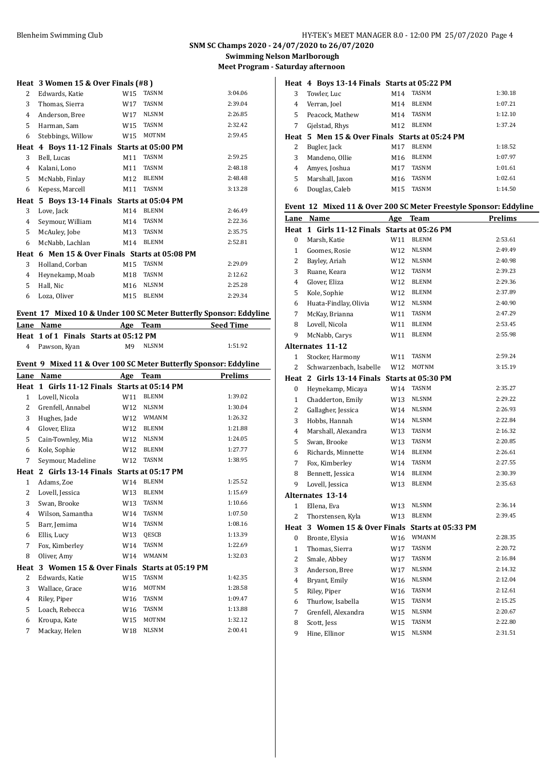## **SNM SC Champs 2020 - 24/07/2020 to 26/07/2020 Swimming Nelson Marlborough**

**Meet Program - Saturday afternoon**

|      | Heat 3 Women 15 & Over Finals (#8)        |                 |              |         |
|------|-------------------------------------------|-----------------|--------------|---------|
| 2    | Edwards, Katie                            | W15             | <b>TASNM</b> | 3:04.06 |
| 3    | Thomas, Sierra                            | W17             | <b>TASNM</b> | 2:39.04 |
| 4    | Anderson, Bree                            | W17             | <b>NLSNM</b> | 2:26.85 |
| 5    | Harman, Sam                               | W15             | <b>TASNM</b> | 2:32.42 |
| 6    | Stebbings, Willow                         | W15             | <b>MOTNM</b> | 2:59.45 |
| Heat | 4 Boys 11-12 Finals Starts at 05:00 PM    |                 |              |         |
| 3    | Bell, Lucas                               | M11             | <b>TASNM</b> | 2:59.25 |
| 4    | Kalani, Lono                              | M11             | <b>TASNM</b> | 2:48.18 |
| 5    | McNabb, Finlay                            | M12             | <b>BLENM</b> | 2:48.48 |
| 6    | Kepess, Marcell                           | M11             | <b>TASNM</b> | 3:13.28 |
| Heat | 5 Boys 13-14 Finals Starts at 05:04 PM    |                 |              |         |
| 3    | Love, Jack                                | M14             | <b>BLENM</b> | 2:46.49 |
| 4    | Seymour, William                          | M14             | <b>TASNM</b> | 2:22.36 |
| 5    | McAuley, Jobe                             | M13             | <b>TASNM</b> | 2:35.75 |
| 6    | McNabb, Lachlan                           | M14             | <b>BLENM</b> | 2:52.81 |
| Heat | 6 Men 15 & Over Finals Starts at 05:08 PM |                 |              |         |
| 3    | Holland, Corban                           | M15             | <b>TASNM</b> | 2:29.09 |
| 4    | Heynekamp, Moab                           | M18             | <b>TASNM</b> | 2:12.62 |
| 5    | Hall, Nic                                 | M <sub>16</sub> | <b>NLSNM</b> | 2:25.28 |
| 6    | Loza, Oliver                              | M15             | <b>BLENM</b> | 2:29.34 |
|      |                                           |                 |              |         |

## **Event 17 Mixed 10 & Under 100 SC Meter Butterfly Sponsor: Eddyline**

| Lane Name      | Team<br>Age                           | <b>Seed Time</b> |
|----------------|---------------------------------------|------------------|
|                | Heat 1 of 1 Finals Starts at 05:12 PM |                  |
| 4 Pawson, Kyan | NLSNM<br>М9                           | 1:51.92          |
|                |                                       |                  |

## **Event 9 Mixed 11 & Over 100 SC Meter Butterfly Sponsor: Eddyline**

| Name              | Age             | Team                     | <b>Prelims</b>                                                                     |
|-------------------|-----------------|--------------------------|------------------------------------------------------------------------------------|
|                   |                 |                          |                                                                                    |
| Lovell, Nicola    | W11             | <b>BLENM</b>             | 1:39.02                                                                            |
| Grenfell, Annabel | W12             | <b>NLSNM</b>             | 1:30.04                                                                            |
| Hughes, Jade      | W12             | <b>WMANM</b>             | 1:26.32                                                                            |
| Glover, Eliza     | W12             | <b>BLENM</b>             | 1:21.88                                                                            |
| Cain-Townley, Mia | W12             | <b>NLSNM</b>             | 1:24.05                                                                            |
| Kole, Sophie      | W12             | <b>BLENM</b>             | 1:27.77                                                                            |
| Seymour, Madeline | W12             | <b>TASNM</b>             | 1:38.95                                                                            |
|                   |                 |                          |                                                                                    |
| Adams, Zoe        | W14             | <b>BLENM</b>             | 1:25.52                                                                            |
| Lovell, Jessica   | W13             | <b>BLENM</b>             | 1:15.69                                                                            |
| Swan, Brooke      | W13             | <b>TASNM</b>             | 1:10.66                                                                            |
| Wilson, Samantha  | W14             | <b>TASNM</b>             | 1:07.50                                                                            |
| Barr, Jemima      | W14             | <b>TASNM</b>             | 1:08.16                                                                            |
| Ellis, Lucy       | W <sub>13</sub> | QESCB                    | 1:13.39                                                                            |
| Fox, Kimberley    | W14             | <b>TASNM</b>             | 1:22.69                                                                            |
| Oliver, Amy       | W14             | <b>WMANM</b>             | 1:32.03                                                                            |
|                   |                 | Starts at 05:19 PM       |                                                                                    |
| Edwards, Katie    | W15             | <b>TASNM</b>             | 1:42.35                                                                            |
| Wallace, Grace    | W <sub>16</sub> | <b>MOTNM</b>             | 1:28.58                                                                            |
| Riley, Piper      | W <sub>16</sub> | <b>TASNM</b>             | 1:09.47                                                                            |
| Loach, Rebecca    | W <sub>16</sub> | <b>TASNM</b>             | 1:13.88                                                                            |
| Kroupa, Kate      | W15             | <b>MOTNM</b>             | 1:32.12                                                                            |
| Mackay, Helen     | W18             | <b>NLSNM</b>             | 2:00.41                                                                            |
|                   |                 | 3 Women 15 & Over Finals | 1 Girls 11-12 Finals Starts at 05:14 PM<br>2 Girls 13-14 Finals Starts at 05:17 PM |

|   | Heat 4 Boys 13-14 Finals Starts at 05:22 PM    |                 |              |         |
|---|------------------------------------------------|-----------------|--------------|---------|
| 3 | Towler, Luc                                    | M14             | <b>TASNM</b> | 1:30.18 |
| 4 | Verran, Joel                                   | M14             | <b>BLENM</b> | 1:07.21 |
| 5 | Peacock, Mathew                                | M14             | <b>TASNM</b> | 1:12.10 |
| 7 | Gjelstad, Rhys                                 | M <sub>12</sub> | <b>BLENM</b> | 1:37.24 |
|   | Heat 5 Men 15 & Over Finals Starts at 05:24 PM |                 |              |         |
| 2 | Bugler, Jack                                   | M17             | <b>BLENM</b> | 1:18.52 |
| 3 | Mandeno, Ollie                                 | M16             | <b>BLENM</b> | 1:07.97 |
| 4 | Amyes, Joshua                                  | M17             | <b>TASNM</b> | 1:01.61 |
| 5 | Marshall, Jaxon                                | M16             | <b>TASNM</b> | 1:02.61 |
| 6 | Douglas, Caleb                                 | M15             | <b>TASNM</b> | 1:14.50 |

## **Event 12 Mixed 11 & Over 200 SC Meter Freestyle Sponsor: Eddyline**

| <b>Lane</b>    | Name                                         | Age             | <b>Team</b>        | <b>Prelims</b> |
|----------------|----------------------------------------------|-----------------|--------------------|----------------|
|                | Heat 1 Girls 11-12 Finals Starts at 05:26 PM |                 |                    |                |
| 0              | Marsh, Katie                                 | W11             | <b>BLENM</b>       | 2:53.61        |
| $\mathbf{1}$   | Goomes, Rosie                                | W12             | <b>NLSNM</b>       | 2:49.49        |
| $\overline{c}$ | Bayley, Ariah                                | W12             | <b>NLSNM</b>       | 2:40.98        |
| 3              | Ruane, Keara                                 | W12             | TASNM              | 2:39.23        |
| $\overline{4}$ | Glover, Eliza                                | W12             | <b>BLENM</b>       | 2:29.36        |
| 5              | Kole, Sophie                                 | W12             | <b>BLENM</b>       | 2:37.89        |
| 6              | Huata-Findlay, Olivia                        | W12             | <b>NLSNM</b>       | 2:40.90        |
| 7              | McKay, Brianna                               | W11             | <b>TASNM</b>       | 2:47.29        |
| 8              | Lovell, Nicola                               | W11             | <b>BLENM</b>       | 2:53.45        |
| 9              | McNabb, Carys                                | W11             | <b>BLENM</b>       | 2:55.98        |
|                | <b>Alternates 11-12</b>                      |                 |                    |                |
| $\mathbf{1}$   | Stocker, Harmony                             | W11             | <b>TASNM</b>       | 2:59.24        |
| $\overline{c}$ | Schwarzenbach, Isabelle                      | W12             | MOTNM              | 3:15.19        |
|                | Heat 2 Girls 13-14 Finals                    |                 | Starts at 05:30 PM |                |
| $\bf{0}$       | Heynekamp, Micaya                            | W14             | TASNM              | 2:35.27        |
| 1              | Chadderton, Emily                            | W13             | <b>NLSNM</b>       | 2:29.22        |
| $\overline{c}$ | Gallagher, Jessica                           | W14             | <b>NLSNM</b>       | 2:26.93        |
| 3              | Hobbs, Hannah                                | W14             | <b>NLSNM</b>       | 2:22.84        |
| $\overline{4}$ | Marshall, Alexandra                          | W13             | <b>TASNM</b>       | 2:16.32        |
| 5              | Swan, Brooke                                 | W13             | TASNM              | 2:20.85        |
| 6              | Richards, Minnette                           | W14             | <b>BLENM</b>       | 2:26.61        |
| 7              | Fox, Kimberley                               | W14             | <b>TASNM</b>       | 2:27.55        |
| 8              | Bennett, Jessica                             | W14             | <b>BLENM</b>       | 2:30.39        |
| 9              | Lovell, Jessica                              | W13             | <b>BLENM</b>       | 2:35.63        |
|                | <b>Alternates 13-14</b>                      |                 |                    |                |
| 1              | Ellena, Eva                                  | W13             | <b>NLSNM</b>       | 2:36.14        |
| $\overline{2}$ | Thorstensen, Kyla                            | W13             | <b>BLENM</b>       | 2:39.45        |
|                | Heat 3 Women 15 & Over Finals                |                 | Starts at 05:33 PM |                |
| 0              | Bronte, Elysia                               | W16             | <b>WMANM</b>       | 2:28.35        |
| $\mathbf{1}$   | Thomas, Sierra                               | W17             | <b>TASNM</b>       | 2:20.72        |
| $\overline{2}$ | Smale, Abbey                                 | W17             | <b>TASNM</b>       | 2:16.84        |
| 3              | Anderson, Bree                               | W17             | <b>NLSNM</b>       | 2:14.32        |
| $\overline{4}$ | Bryant, Emily                                | W <sub>16</sub> | <b>NLSNM</b>       | 2:12.04        |
| 5              | Riley, Piper                                 | W16             | <b>TASNM</b>       | 2:12.61        |
| 6              | Thurlow, Isabella                            | W15             | TASNM              | 2:15.25        |
| 7              | Grenfell, Alexandra                          | W15             | <b>NLSNM</b>       | 2:20.67        |
| 8              | Scott, Jess                                  | W15             | <b>TASNM</b>       | 2:22.80        |
| 9              | Hine, Ellinor                                | W15             | <b>NLSNM</b>       | 2:31.51        |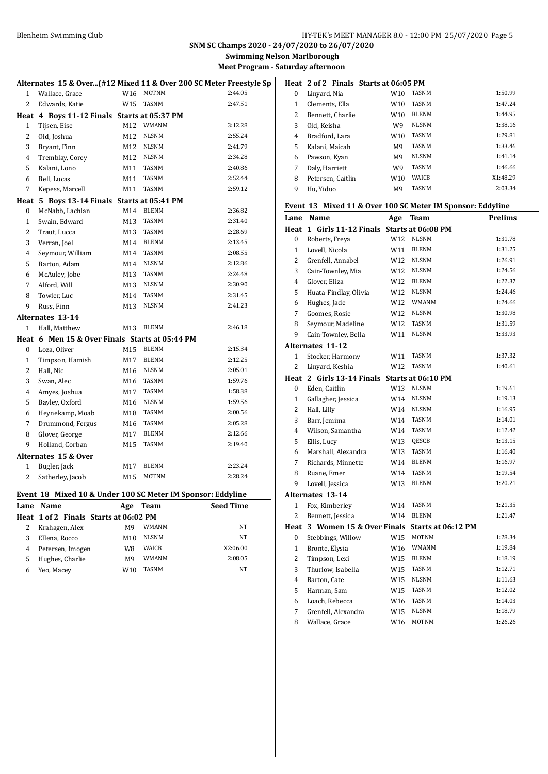**Swimming Nelson Marlborough**

**Meet Program - Saturday afternoon**

|                  |                                                             |     |              | Alternates 15 & Over(#12 Mixed 11 & Over 200 SC Meter Freestyle Sp |                  |                         |                       | Heat 2 of 2 Finals Starts at 06:05 PM  |                  |
|------------------|-------------------------------------------------------------|-----|--------------|--------------------------------------------------------------------|------------------|-------------------------|-----------------------|----------------------------------------|------------------|
| $\mathbf{1}$     | Wallace, Grace                                              | W16 | MOTNM        | 2:44.05                                                            | $\boldsymbol{0}$ | Linyard, Nia            |                       | W10                                    | <b>TASM</b>      |
| 2                | Edwards, Katie                                              |     | W15 TASNM    | 2:47.51                                                            | $\mathbf{1}$     | Clements, Ella          |                       | W10                                    | <b>TASN</b>      |
|                  | Heat 4 Boys 11-12 Finals Starts at 05:37 PM                 |     |              |                                                                    | $\overline{2}$   |                         | Bennett, Charlie      | W10                                    | <b>BLEI</b>      |
| $\mathbf{1}$     | Tijsen, Eise                                                |     | M12 WMANM    | 3:12.28                                                            | 3                | Old, Keisha             |                       | W9                                     | <b>NLSI</b>      |
| 2                | Old, Joshua                                                 | M12 | <b>NLSNM</b> | 2:55.24                                                            | 4                | Bradford, Lara          |                       | W10                                    | <b>TASN</b>      |
| 3                | Bryant, Finn                                                | M12 | <b>NLSNM</b> | 2:41.79                                                            | 5                | Kalani, Maicah          |                       | M <sub>9</sub>                         | <b>TASM</b>      |
| 4                | Tremblay, Corey                                             | M12 | NLSNM        | 2:34.28                                                            | 6                | Pawson, Kyan            |                       | M <sub>9</sub>                         | <b>NLSI</b>      |
| 5                | Kalani, Lono                                                | M11 | <b>TASNM</b> | 2:40.86                                                            | 7                | Daly, Harriett          |                       | W <sub>9</sub>                         | <b>TASM</b>      |
| 6                | Bell, Lucas                                                 | M11 | <b>TASNM</b> | 2:52.44                                                            | 8                |                         | Petersen, Caitlin     | W10                                    | WAI <sup>(</sup> |
| $\overline{7}$   | Kepess, Marcell                                             | M11 | <b>TASNM</b> | 2:59.12                                                            | 9                | Hu, Yiduo               |                       | M <sub>9</sub>                         | <b>TASM</b>      |
|                  | Heat 5 Boys 13-14 Finals Starts at 05:41 PM                 |     |              |                                                                    |                  |                         |                       |                                        |                  |
| $\boldsymbol{0}$ | McNabb, Lachlan                                             | M14 | <b>BLENM</b> | 2:36.82                                                            |                  |                         |                       | Event 13 Mixed 11 & Over 100 SC Met    |                  |
| $\mathbf{1}$     | Swain, Edward                                               | M13 | <b>TASNM</b> | 2:31.40                                                            |                  | Lane Name               |                       |                                        | Age Tear         |
| $\overline{2}$   | Traut, Lucca                                                | M13 | <b>TASNM</b> | 2:28.69                                                            |                  |                         |                       | Heat 1 Girls 11-12 Finals Starts at 06 |                  |
| $\sqrt{3}$       | Verran, Joel                                                | M14 | <b>BLENM</b> | 2:13.45                                                            | 0                | Roberts, Freya          |                       | W12                                    | <b>NLSI</b>      |
| $\overline{4}$   | Seymour, William                                            | M14 | TASNM        | 2:08.55                                                            | $\mathbf{1}$     | Lovell, Nicola          |                       | W11                                    | <b>BLEI</b>      |
| 5                | Barton, Adam                                                | M14 | <b>NLSNM</b> | 2:12.86                                                            | 2                |                         | Grenfell, Annabel     | W12                                    | <b>NLSI</b>      |
| 6                | McAuley, Jobe                                               | M13 | <b>TASNM</b> | 2:24.48                                                            | 3                |                         | Cain-Townley, Mia     | W12                                    | <b>NLSI</b>      |
| 7                | Alford, Will                                                | M13 | <b>NLSNM</b> | 2:30.90                                                            | 4                | Glover, Eliza           |                       | W12                                    | <b>BLEI</b>      |
| 8                | Towler, Luc                                                 | M14 | <b>TASNM</b> | 2:31.45                                                            | 5                |                         | Huata-Findlay, Olivia | W12                                    | <b>NLSI</b>      |
| 9                | Russ, Finn                                                  | M13 | <b>NLSNM</b> | 2:41.23                                                            | 6                | Hughes, Jade            |                       | W12                                    | WM/              |
|                  | Alternates 13-14                                            |     |              |                                                                    | 7                | Goomes, Rosie           |                       | W12                                    | <b>NLSI</b>      |
| $\mathbf{1}$     | Hall, Matthew                                               | M13 | <b>BLENM</b> | 2:46.18                                                            | 8                |                         | Seymour, Madeline     | W12                                    | <b>TASM</b>      |
|                  | Heat 6 Men 15 & Over Finals Starts at 05:44 PM              |     |              |                                                                    | 9                |                         | Cain-Townley, Bella   | W11                                    | <b>NLSI</b>      |
| $\boldsymbol{0}$ | Loza, Oliver                                                | M15 | <b>BLENM</b> | 2:15.34                                                            |                  | <b>Alternates 11-12</b> |                       |                                        |                  |
| $\mathbf{1}$     | Timpson, Hamish                                             | M17 | <b>BLENM</b> | 2:12.25                                                            | $\mathbf{1}$     |                         | Stocker, Harmony      | W11                                    | <b>TASN</b>      |
| $\overline{c}$   | Hall, Nic                                                   | M16 | <b>NLSNM</b> | 2:05.01                                                            | 2                |                         | Linyard, Keshia       | W12                                    | <b>TASN</b>      |
| 3                | Swan, Alec                                                  | M16 | <b>TASNM</b> | 1:59.76                                                            |                  |                         |                       | Heat 2 Girls 13-14 Finals Starts at 06 |                  |
| $\overline{4}$   | Amyes, Joshua                                               | M17 | <b>TASNM</b> | 1:58.38                                                            | 0                | Eden, Caitlin           |                       | W13                                    | <b>NLSI</b>      |
| 5                | Bayley, Oxford                                              | M16 | <b>NLSNM</b> | 1:59.56                                                            | $\mathbf{1}$     |                         | Gallagher, Jessica    | W14                                    | <b>NLSI</b>      |
| 6                | Heynekamp, Moab                                             | M18 | <b>TASNM</b> | 2:00.56                                                            | 2                | Hall, Lilly             |                       | W14                                    | <b>NLSI</b>      |
| 7                | Drummond, Fergus                                            | M16 | <b>TASNM</b> | 2:05.28                                                            | 3                | Barr, Jemima            |                       | W14                                    | <b>TASM</b>      |
| 8                | Glover, George                                              | M17 | <b>BLENM</b> | 2:12.66                                                            | $\overline{4}$   |                         | Wilson, Samantha      | W14                                    | <b>TASM</b>      |
| 9                | Holland, Corban                                             | M15 | <b>TASNM</b> | 2:19.40                                                            | 5                | Ellis, Lucy             |                       | W13                                    | QES <sub>(</sub> |
|                  | Alternates 15 & Over                                        |     |              |                                                                    | 6                |                         | Marshall, Alexandra   | W13                                    | <b>TASN</b>      |
| $\mathbf{1}$     | Bugler, Jack                                                | M17 | <b>BLENM</b> | 2:23.24                                                            | 7                |                         | Richards, Minnette    | W14                                    | <b>BLEI</b>      |
| 2                | Satherley, Jacob                                            | M15 | <b>MOTNM</b> | 2:28.24                                                            | 8                | Ruane, Emer             |                       | W14                                    | <b>TASM</b>      |
|                  |                                                             |     |              |                                                                    | 9                | Lovell, Jessica         |                       | W13                                    | <b>BLEI</b>      |
|                  | Event 18 Mixed 10 & Under 100 SC Meter IM Sponsor: Eddyline |     |              |                                                                    |                  | Alternates 13-14        |                       |                                        |                  |
| Lane             | Name                                                        | Age | <b>Team</b>  | <b>Seed Time</b>                                                   | $\mathbf{1}$     | Fox, Kimberley          |                       |                                        | W14 TASM         |

|   | Heat 1 of 2 Finals Starts at 06:02 PM |                 |              |          |
|---|---------------------------------------|-----------------|--------------|----------|
|   | Krahagen, Alex                        | M9              | WMANM        | NT       |
|   | Ellena, Rocco                         | M <sub>10</sub> | NLSNM        | NT       |
| 4 | Petersen, Imogen                      | W8              | <b>WAICB</b> | X2:06.00 |
|   | Hughes, Charlie                       | M9              | WMANM        | 2:08.05  |
|   | Yeo, Macey                            | W10             | <b>TASNM</b> | NT       |

|   | leal 2012 Filiais Starts at 00:05 PM |                |              |          |
|---|--------------------------------------|----------------|--------------|----------|
| 0 | Linyard, Nia                         | W10            | <b>TASNM</b> | 1:50.99  |
| 1 | Clements, Ella                       | W10            | <b>TASNM</b> | 1:47.24  |
| 2 | Bennett, Charlie                     | W10            | <b>BLENM</b> | 1:44.95  |
| 3 | Old, Keisha                          | W9             | <b>NLSNM</b> | 1:38.16  |
| 4 | Bradford, Lara                       | W10            | <b>TASNM</b> | 1:29.81  |
| 5 | Kalani, Maicah                       | M <sub>9</sub> | <b>TASNM</b> | 1:33.46  |
| 6 | Pawson, Kyan                         | M <sub>9</sub> | <b>NLSNM</b> | 1:41.14  |
| 7 | Daly, Harriett                       | W9             | <b>TASNM</b> | 1:46.66  |
| 8 | Petersen, Caitlin                    | W10            | <b>WAICB</b> | X1:48.29 |
| 9 | Hu, Yiduo                            | M <sub>9</sub> | <b>TASNM</b> | 2:03.34  |

## **Event 13 Mixed 11 & Over 100 SC Meter IM Sponsor: Eddyline**

|                | Lane Name                                        | Age | <b>Team</b>  | Prelims |
|----------------|--------------------------------------------------|-----|--------------|---------|
|                | Heat 1 Girls 11-12 Finals Starts at 06:08 PM     |     |              |         |
| 0              | Roberts, Freya                                   | W12 | <b>NLSNM</b> | 1:31.78 |
| $\mathbf{1}$   | Lovell, Nicola                                   | W11 | <b>BLENM</b> | 1:31.25 |
| $\overline{c}$ | Grenfell, Annabel                                | W12 | <b>NLSNM</b> | 1:26.91 |
| 3              | Cain-Townley, Mia                                | W12 | <b>NLSNM</b> | 1:24.56 |
| 4              | Glover, Eliza                                    | W12 | <b>BLENM</b> | 1:22.37 |
| 5              | Huata-Findlay, Olivia                            | W12 | <b>NLSNM</b> | 1:24.46 |
| 6              | Hughes, Jade                                     | W12 | WMANM        | 1:24.66 |
| 7              | Goomes, Rosie                                    | W12 | <b>NLSNM</b> | 1:30.98 |
| 8              | Seymour, Madeline                                | W12 | <b>TASNM</b> | 1:31.59 |
| 9              | Cain-Townley, Bella                              | W11 | <b>NLSNM</b> | 1:33.93 |
|                | <b>Alternates 11-12</b>                          |     |              |         |
| $\mathbf{1}$   | Stocker, Harmony                                 | W11 | <b>TASNM</b> | 1:37.32 |
| $\overline{c}$ | Linyard, Keshia                                  | W12 | <b>TASNM</b> | 1:40.61 |
|                | Heat 2 Girls 13-14 Finals Starts at 06:10 PM     |     |              |         |
| 0              | Eden, Caitlin                                    | W13 | <b>NLSNM</b> | 1:19.61 |
| $\mathbf{1}$   | Gallagher, Jessica                               | W14 | <b>NLSNM</b> | 1:19.13 |
| $\overline{c}$ | Hall, Lilly                                      | W14 | <b>NLSNM</b> | 1:16.95 |
| 3              | Barr, Jemima                                     | W14 | <b>TASNM</b> | 1:14.01 |
| $\overline{4}$ | Wilson, Samantha                                 | W14 | <b>TASNM</b> | 1:12.42 |
| 5              | Ellis, Lucy                                      | W13 | QESCB        | 1:13.15 |
| 6              | Marshall, Alexandra                              | W13 | <b>TASNM</b> | 1:16.40 |
| 7              | Richards, Minnette                               | W14 | <b>BLENM</b> | 1:16.97 |
| 8              | Ruane, Emer                                      | W14 | <b>TASNM</b> | 1:19.54 |
| 9              | Lovell, Jessica                                  | W13 | <b>BLENM</b> | 1:20.21 |
|                | <b>Alternates 13-14</b>                          |     |              |         |
| $\mathbf{1}$   | Fox, Kimberley                                   | W14 | <b>TASNM</b> | 1:21.35 |
| $\overline{c}$ | Bennett, Jessica                                 | W14 | <b>BLENM</b> | 1:21.47 |
|                | Heat 3 Women 15 & Over Finals Starts at 06:12 PM |     |              |         |
| 0              | Stebbings, Willow                                | W15 | <b>MOTNM</b> | 1:28.34 |
| $\mathbf{1}$   | Bronte, Elysia                                   | W16 | <b>WMANM</b> | 1:19.84 |
| 2              | Timpson, Lexi                                    | W15 | <b>BLENM</b> | 1:18.19 |
| 3              | Thurlow, Isabella                                | W15 | <b>TASNM</b> | 1:12.71 |
| 4              | Barton, Cate                                     | W15 | <b>NLSNM</b> | 1:11.63 |
| 5              | Harman, Sam                                      | W15 | <b>TASNM</b> | 1:12.02 |
| 6              | Loach, Rebecca                                   | W16 | <b>TASNM</b> | 1:14.03 |
| 7              | Grenfell, Alexandra                              | W15 | <b>NLSNM</b> | 1:18.79 |
| 8              | Wallace, Grace                                   | W16 | MOTNM        | 1:26.26 |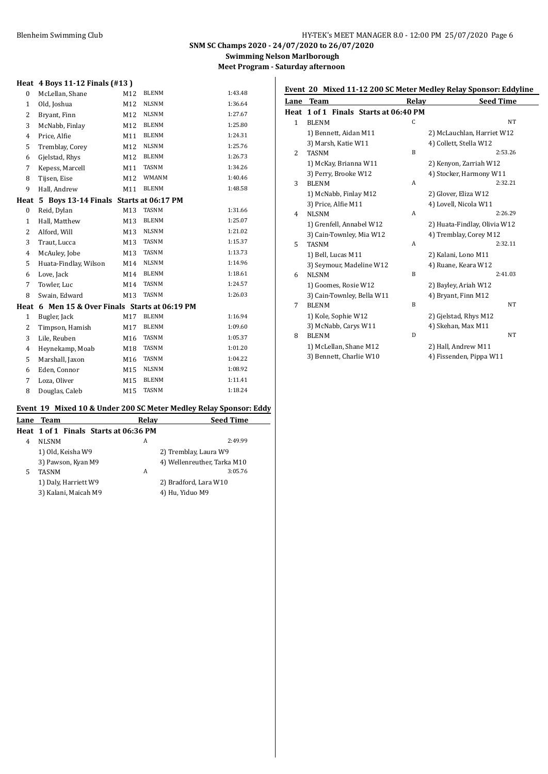## **SNM SC Champs 2020 - 24/07/2020 to 26/07/2020 Swimming Nelson Marlborough**

**Meet Program - Saturday afternoon**

## **Heat 4 Boys 11-12 Finals (#13 )**

| $\boldsymbol{0}$ | McLellan, Shane                           | M12 | <b>BLENM</b> | 1:43.48 |
|------------------|-------------------------------------------|-----|--------------|---------|
| 1                | Old, Joshua                               | M12 | <b>NLSNM</b> | 1:36.64 |
| 2                | Bryant, Finn                              | M12 | <b>NLSNM</b> | 1:27.67 |
| 3                | McNabb, Finlay                            | M12 | <b>BLENM</b> | 1:25.80 |
| $\overline{4}$   | Price, Alfie                              | M11 | <b>BLENM</b> | 1:24.31 |
| 5                | Tremblay, Corey                           | M12 | <b>NLSNM</b> | 1:25.76 |
| 6                | Gjelstad, Rhys                            | M12 | <b>BLENM</b> | 1:26.73 |
| 7                | Kepess, Marcell                           | M11 | <b>TASNM</b> | 1:34.26 |
| 8                | Tijsen, Eise                              | M12 | WMANM        | 1:40.46 |
| 9                | Hall, Andrew                              | M11 | <b>BLENM</b> | 1:48.58 |
| Heat             | 5 Boys 13-14 Finals Starts at 06:17 PM    |     |              |         |
| 0                | Reid, Dylan                               | M13 | <b>TASNM</b> | 1:31.66 |
| 1                | Hall, Matthew                             | M13 | <b>BLENM</b> | 1:25.07 |
| 2                | Alford, Will                              | M13 | <b>NLSNM</b> | 1:21.02 |
| 3                | Traut, Lucca                              | M13 | <b>TASNM</b> | 1:15.37 |
| 4                | McAuley, Jobe                             | M13 | <b>TASNM</b> | 1:13.73 |
| 5                | Huata-Findlay, Wilson                     | M14 | <b>NLSNM</b> | 1:14.96 |
| 6                | Love, Jack                                | M14 | <b>BLENM</b> | 1:18.61 |
| 7                | Towler, Luc                               | M14 | <b>TASNM</b> | 1:24.57 |
| 8                | Swain, Edward                             | M13 | <b>TASNM</b> | 1:26.03 |
| Heat             | 6 Men 15 & Over Finals Starts at 06:19 PM |     |              |         |
| $\mathbf{1}$     | Bugler, Jack                              | M17 | <b>BLENM</b> | 1:16.94 |
| 2                | Timpson, Hamish                           | M17 | <b>BLENM</b> | 1:09.60 |
| 3                | Lile, Reuben                              | M16 | <b>TASNM</b> | 1:05.37 |
| 4                | Heynekamp, Moab                           | M18 | <b>TASNM</b> | 1:01.20 |
| 5                | Marshall, Jaxon                           | M16 | <b>TASNM</b> | 1:04.22 |
| 6                | Eden, Connor                              | M15 | <b>NLSNM</b> | 1:08.92 |
| 7                | Loza, Oliver                              | M15 | <b>BLENM</b> | 1:11.41 |
| 8                | Douglas, Caleb                            | M15 | <b>TASNM</b> | 1:18.24 |

## Event 19 Mixed 10 & Under 200 SC Meter Medley Relay Sponsor: Eddy

|   | Lane Team                             | Relay | <b>Seed Time</b>            |
|---|---------------------------------------|-------|-----------------------------|
|   | Heat 1 of 1 Finals Starts at 06:36 PM |       |                             |
| 4 | <b>NLSNM</b>                          | А     | 2:49.99                     |
|   | 1) Old, Keisha W9                     |       | 2) Tremblay, Laura W9       |
|   | 3) Pawson, Kyan M9                    |       | 4) Wellenreuther, Tarka M10 |
| 5 | <b>TASNM</b>                          | A     | 3:05.76                     |
|   | 1) Daly, Harriett W9                  |       | 2) Bradford, Lara W10       |
|   | 3) Kalani, Maicah M9                  |       | 4) Hu, Yiduo M9             |
|   |                                       |       |                             |

| Lane           | <b>Team</b>                      | Relay | <b>Seed Time</b>             |
|----------------|----------------------------------|-------|------------------------------|
| Heat           | 1 of 1 Finals Starts at 06:40 PM |       |                              |
| $\mathbf{1}$   | <b>BLENM</b>                     | C     | <b>NT</b>                    |
|                | 1) Bennett, Aidan M11            |       | 2) McLauchlan, Harriet W12   |
|                | 3) Marsh, Katie W11              |       | 4) Collett, Stella W12       |
| $\overline{c}$ | <b>TASNM</b>                     | B     | 2:53.26                      |
|                | 1) McKay, Brianna W11            |       | 2) Kenyon, Zarriah W12       |
|                | 3) Perry, Brooke W12             |       | 4) Stocker, Harmony W11      |
| 3              | <b>BLENM</b>                     | A     | 2:32.21                      |
|                | 1) McNabb, Finlay M12            |       | 2) Glover, Eliza W12         |
|                | 3) Price, Alfie M11              |       | 4) Lovell, Nicola W11        |
| 4              | <b>NLSNM</b>                     | A     | 2:26.29                      |
|                | 1) Grenfell, Annabel W12         |       | 2) Huata-Findlay, Olivia W12 |
|                | 3) Cain-Townley, Mia W12         |       | 4) Tremblay, Corey M12       |
| 5              | <b>TASNM</b>                     | A     | 2:32.11                      |
|                | 1) Bell, Lucas M11               |       | 2) Kalani, Lono M11          |
|                | 3) Seymour, Madeline W12         |       | 4) Ruane, Keara W12          |
| 6              | <b>NLSNM</b>                     | B     | 2:41.03                      |
|                | 1) Goomes, Rosie W12             |       | 2) Bayley, Ariah W12         |
|                | 3) Cain-Townley, Bella W11       |       | 4) Bryant, Finn M12          |
| 7              | <b>BLENM</b>                     | B     | NT                           |
|                | 1) Kole, Sophie W12              |       | 2) Gjelstad, Rhys M12        |
|                | 3) McNabb, Carys W11             |       | 4) Skehan, Max M11           |
| 8              | <b>BLENM</b>                     | D     | NT                           |
|                | 1) McLellan, Shane M12           |       | 2) Hall, Andrew M11          |
|                | 3) Bennett, Charlie W10          |       | 4) Fissenden, Pippa W11      |

## **Event 20 Mixed 11-12 200 SC Meter Medley Relay Sponsor: Eddyline**